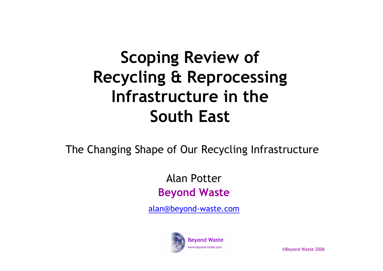### Scoping Review of Recycling & Reprocessing Infrastructure in the South East

The Changing Shape of Our Recycling Infrastructure

Alan PotterBeyond Waste

alan@beyond-waste.com



©Beyond Waste 2006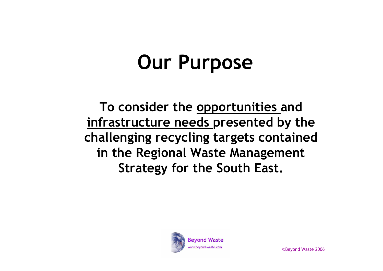# Our Purpose

To consider the opportunities and infrastructure needs presented by the challenging recycling targets contained in the Regional Waste Management Strategy for the South East.

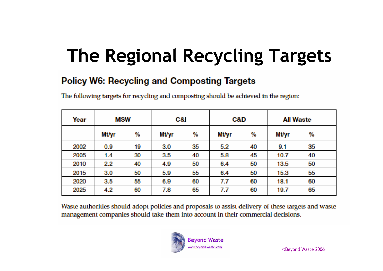### The Regional Recycling Targets

#### **Policy W6: Recycling and Composting Targets**

The following targets for recycling and composting should be achieved in the region:

| Year | <b>MSW</b> |    | C&I   |    | C&D   |    | <b>All Waste</b> |    |
|------|------------|----|-------|----|-------|----|------------------|----|
|      | Mt/yr      | %  | Mt/yr | %  | Mt/yr | %  | Mt/yr            | %  |
| 2002 | 0.9        | 19 | 3.0   | 35 | 5.2   | 40 | 9.1              | 35 |
| 2005 | 1.4        | 30 | 3.5   | 40 | 5.8   | 45 | 10.7             | 40 |
| 2010 | 2.2        | 40 | 4.9   | 50 | 6.4   | 50 | 13.5             | 50 |
| 2015 | 3.0        | 50 | 5.9   | 55 | 6.4   | 50 | 15.3             | 55 |
| 2020 | 3.5        | 55 | 6.9   | 60 | 7.7   | 60 | 18.1             | 60 |
| 2025 | 4.2        | 60 | 7.8   | 65 | 7.7   | 60 | 19.7             | 65 |

Waste authorities should adopt policies and proposals to assist delivery of these targets and waste management companies should take them into account in their commercial decisions.

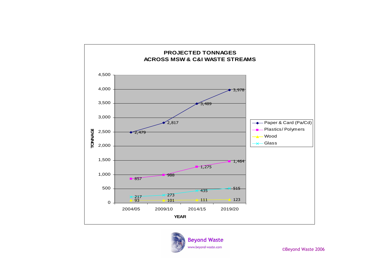

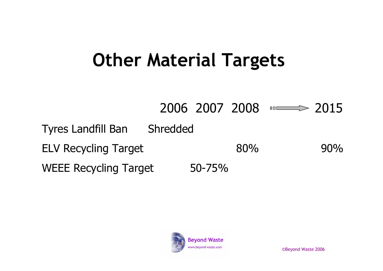### Other Material Targets

2006 2007 2008  $\longrightarrow$  2015 Tyres Landfill Ban ShreddedELV Recycling Target 80% 80% 90% WEEE Recycling Target

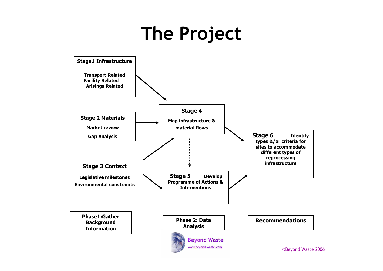### The Project

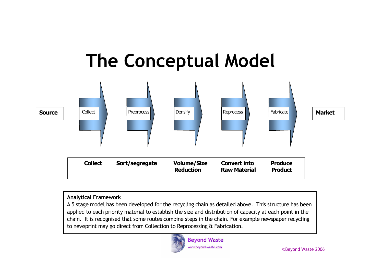#### $ThoCo$ The Conceptual Model



#### Analytical Framework

 A 5 stage model has been developed for the recycling chain as detailed above. This structure has been applied to each priority material to establish the size and distribution of capacity at each point in the chain. It is recognised that some routes combine steps in the chain. For example newspaper recycling to newsprint may go direct from Collection to Reprocessing & Fabrication.

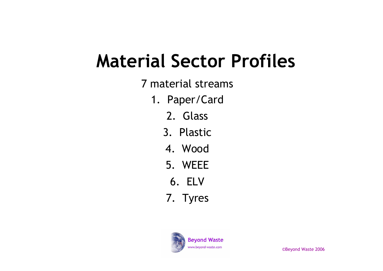### Material Sector Profiles

- 7 material streams
	- 1. Paper/Card
		- 2. Glass
		- 3. Plastic
		- 4. Wood
		- 5. WEEE
		- 6. ELV
		- 7. Tyres

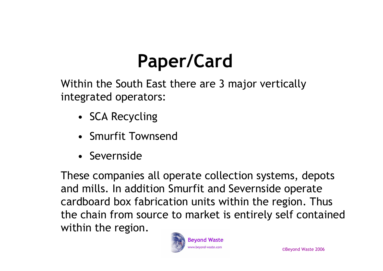# Paper/Card

Within the South East there are 3 major vertically integrated operators:

- SCA Recycling
- Smurfit Townsend
- Severnside

These companies all operate collection systems, depots and mills. In addition Smurfit and Severnside operate cardboard box fabrication units within the region. Thus the chain from source to market is entirely self contained within the region.

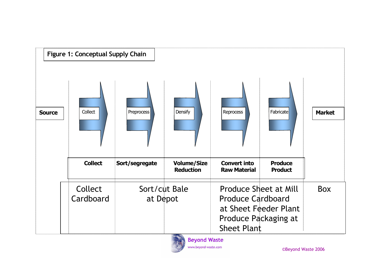

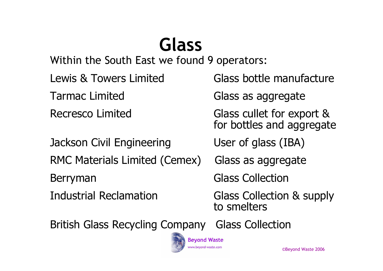### Glass

Within the South East we found 9 operators:

Jackson Civil Engineering User of glass (IBA)

RMC Materials Limited (Cemex) Glass as aggregate

Berryman Glass Collection<br>Industrial Reclamation Glass Collection

Lewis & Towers Limited<br>
Tarmac Limited

Glass as aggregate

Tarmac Limited Glass as aggregate<br>Recresco Limited Glass cullet for exp

Glass cullet for export & for bottles and aggregate

**Glass Collection & supply** to smelters

British Glass Recycling Company Glass Collection

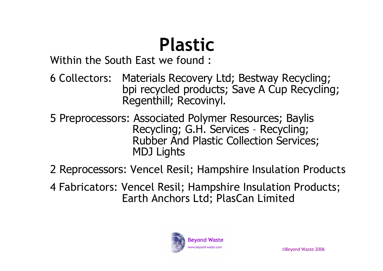# Plastic

Within the South East we found :

- 6 Collectors: Materials Recovery Ltd; Bestway Recycling; bpi recycled products; Save A Cup Recycling; Regenthill; Recovinyl.
- 5 Preprocessors: Associated Polymer Resources; Baylis Recycling; G.H. Services – Recycling; Rubber And Plastic Collection Services; MDJ Lights
- 2 Reprocessors: Vencel Resil; Hampshire Insulation Products
- 4 Fabricators: Vencel Resil; Hampshire Insulation Products; Earth Anchors Ltd; PlasCan Limited

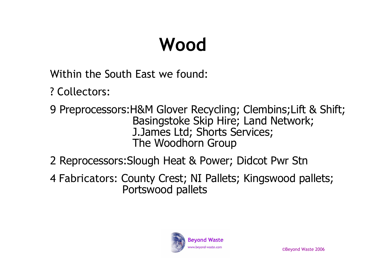# Wood

Within the South East we found:

- ? Collectors:
- 9 Preprocessors:H&M Glover Recycling; Clembins;Lift & Shift; Basingstoke Skip Hire; Land Network; J.James Ltd; Shorts Services; The Woodhorn Group
- 2 Reprocessors:Slough Heat & Power; Didcot Pwr Stn
- 4 Fabricators: County Crest; NI Pallets; Kingswood pallets; Portswood pallets

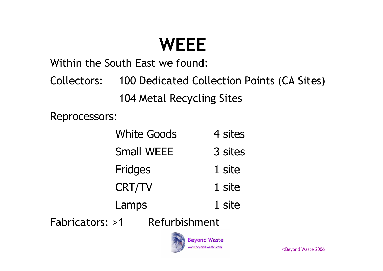# **WEEE**

Within the South East we found:

Collectors: 100 Dedicated Collection Points (CA Sites) 104 Metal Recycling Sites

Reprocessors:

| <b>White Goods</b> | 4 sites |
|--------------------|---------|
| <b>Small WEEE</b>  | 3 sites |
| <b>Fridges</b>     | 1 site  |
| <b>CRT/TV</b>      | 1 site  |
| Lamps              | 1 site  |
|                    |         |

Fabricators: >1 Refurbishment

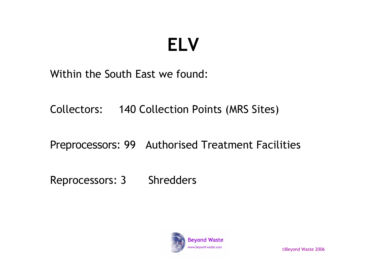# ELV

Within the South East we found:

Collectors: 140 Collection Points (MRS Sites)

Preprocessors: 99 Authorised Treatment Facilities

Reprocessors: 3 Shredders

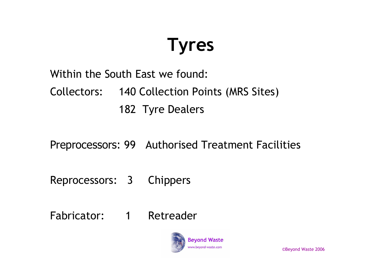### Tyres

#### Within the South East we found:Collectors: 140 Collection Points (MRS Sites) 182 Tyre Dealers

Preprocessors: 99 Authorised Treatment Facilities

Reprocessors: 3 Chippers

Fabricator: <sup>1</sup> Retreader

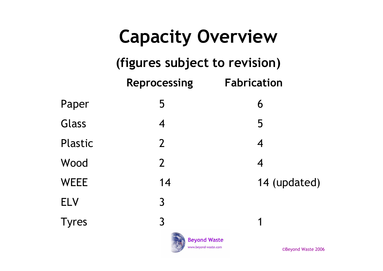| <b>Capacity Overview</b>      |                                             |                    |  |  |  |
|-------------------------------|---------------------------------------------|--------------------|--|--|--|
| (figures subject to revision) |                                             |                    |  |  |  |
|                               | <b>Reprocessing</b>                         | <b>Fabrication</b> |  |  |  |
| Paper                         | 5                                           | 6                  |  |  |  |
| Glass                         | 4                                           | 5                  |  |  |  |
| Plastic                       | $\overline{2}$                              | $\overline{4}$     |  |  |  |
| Wood                          | $\overline{2}$                              | 4                  |  |  |  |
| WEEE                          | 14                                          | 14 (updated)       |  |  |  |
| <b>ELV</b>                    | $\overline{3}$                              |                    |  |  |  |
| <b>Tyres</b>                  | $\overline{3}$                              | 1                  |  |  |  |
|                               | <b>Beyond Waste</b><br>www.beyond-waste.com | ©Beyond Waste 2006 |  |  |  |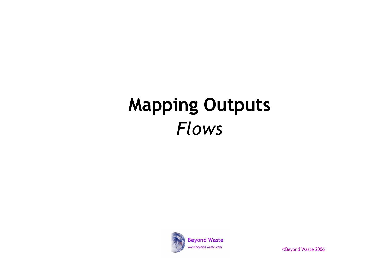### Mapping OutputsFlows

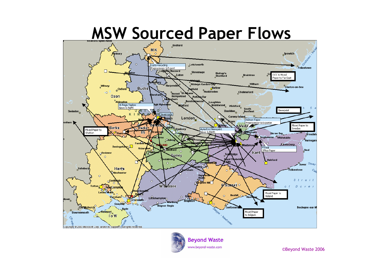

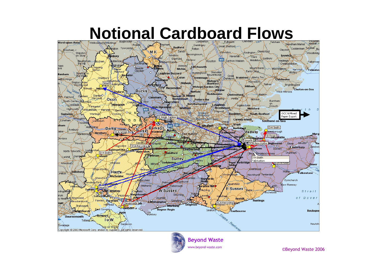### **Notional Cardboard Flows**



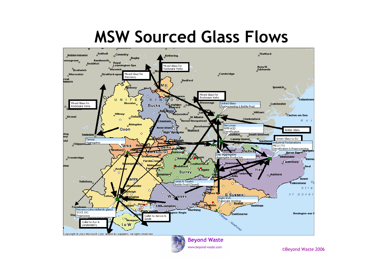### MSW Sourced Glass Flows



©Beyond Waste 2006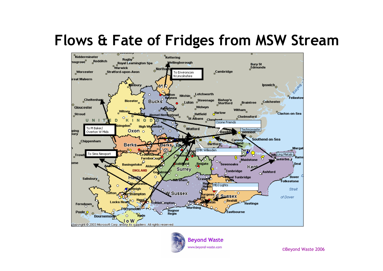#### Flows & Fate of Fridges from MSW Stream



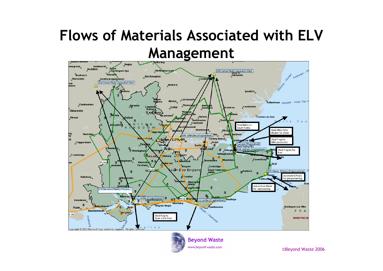#### Flows of Materials Associated with ELV Management





**Beyond Waste** www.beyond-waste.com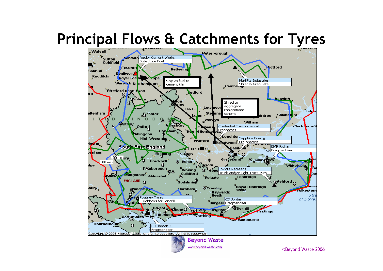#### Principal Flows & Catchments for Tyres

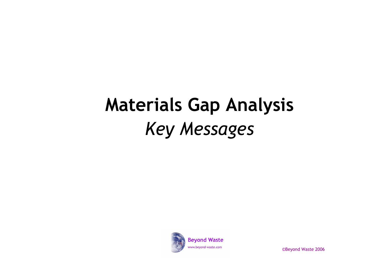### Materials Gap AnalysisKey Messages

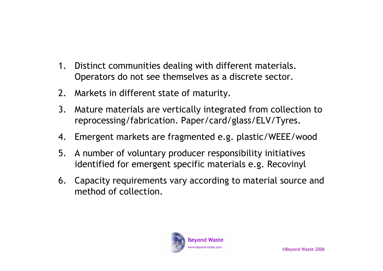- 1. Distinct communities dealing with different materials. Operators do not see themselves as a discrete sector.
- 2. Markets in different state of maturity.
- 3. Mature materials are vertically integrated from collection to reprocessing/fabrication. Paper/card/glass/ELV/Tyres.
- 4. Emergent markets are fragmented e.g. plastic/WEEE/wood
- 5. A number of voluntary producer responsibility initiatives identified for emergent specific materials e.g. Recovinyl
- 6. Capacity requirements vary according to material source and method of collection.

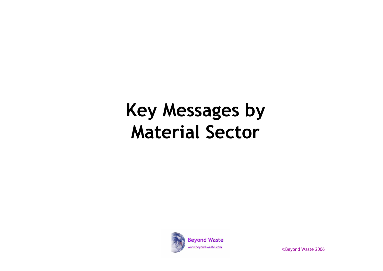### Key Messages by Material Sector

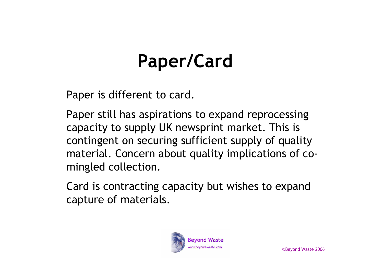### Paper/Card

Paper is different to card.

Paper still has aspirations to expand reprocessing capacity to supply UK newsprint market. This is contingent on securing sufficient supply of quality material. Concern about quality implications of comingled collection.

Card is contracting capacity but wishes to expand capture of materials.

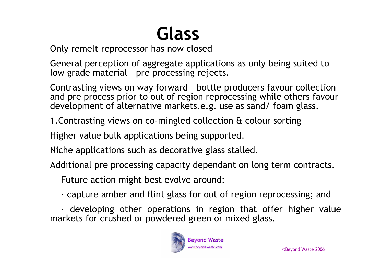### Glass

Only remelt reprocessor has now closed

General perception of aggregate applications as only being suited to low grade material – pre processing rejects.

Contrasting views on way forward – bottle producers favour collection and pre process prior to out of region reprocessing while others favour development of alternative markets.e.g. use as sand/ foam glass.

1.Contrasting views on co-mingled collection & colour sorting

Higher value bulk applications being supported.

Niche applications such as decorative glass stalled.

Additional pre processing capacity dependant on long term contracts.

Future action might best evolve around:

 $\cdot$  capture amber and flint glass for out of region reprocessing; and

· developing other operations in region that offer higher value markets for crushed or powdered green or mixed glass.

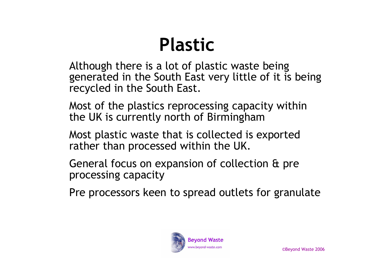### Plastic

Although there is a lot of plastic waste being generated in the South East very little of it is beingrecycled in the South East.

Most of the plastics reprocessing capacity within the UK is currently north of Birmingham

Most plastic waste that is collected is exported rather than processed within the UK.

General focus on expansion of collection & pre processing capacity

Pre processors keen to spread outlets for granulate

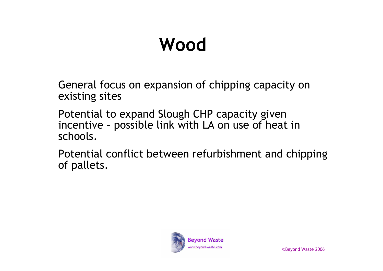### Wood

General focus on expansion of chipping capacity on existing sites

Potential to expand Slough CHP capacity given incentive – possible link with LA on use of heat in schools.

Potential conflict between refurbishment and chipping of pallets.

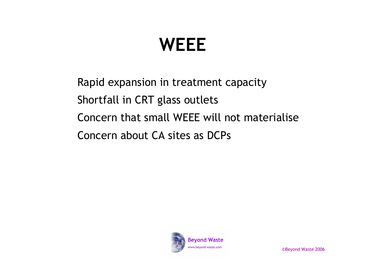### **WEEE**

Rapid expansion in treatment capacityShortfall in CRT glass outletsConcern that small WEEE will not materialiseConcern about CA sites as DCPs

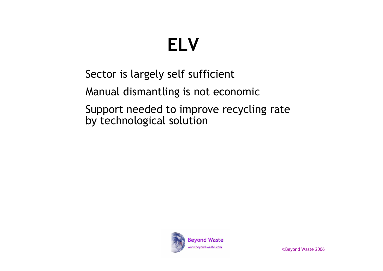# ELV

Sector is largely self sufficient

Manual dismantling is not economic

Support needed to improve recycling rate by technological solution

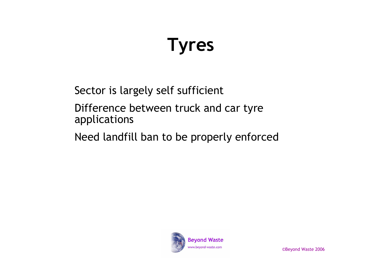### Tyres

Sector is largely self sufficient

Difference between truck and car tyre applications

Need landfill ban to be properly enforced

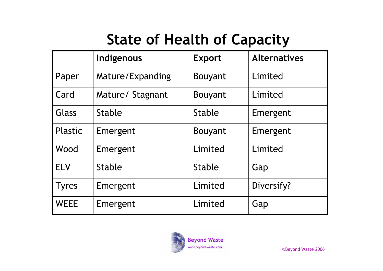### State of Health of Capacity

|                | <b>Indigenous</b> | <b>Export</b>  | <b>Alternatives</b> |
|----------------|-------------------|----------------|---------------------|
| Paper          | Mature/Expanding  | <b>Bouyant</b> | Limited             |
| Card           | Mature/ Stagnant  | <b>Bouyant</b> | Limited             |
| Glass          | <b>Stable</b>     | <b>Stable</b>  | Emergent            |
| <b>Plastic</b> | Emergent          | <b>Bouyant</b> | Emergent            |
| Wood           | Emergent          | Limited        | Limited             |
| <b>ELV</b>     | <b>Stable</b>     | <b>Stable</b>  | Gap                 |
| <b>Tyres</b>   | Emergent          | Limited        | Diversify?          |
| <b>WEEE</b>    | Emergent          | Limited        | Gap                 |